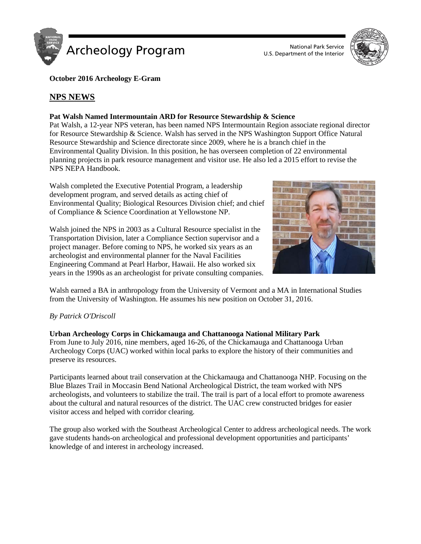



**October 2016 Archeology E-Gram**

# **NPS NEWS**

# **Pat Walsh Named Intermountain ARD for Resource Stewardship & Science**

Pat Walsh, a 12-year NPS veteran, has been named NPS Intermountain Region associate regional director for Resource Stewardship & Science. Walsh has served in the NPS Washington Support Office Natural Resource Stewardship and Science directorate since 2009, where he is a branch chief in the Environmental Quality Division. In this position, he has overseen completion of 22 environmental planning projects in park resource management and visitor use. He also led a 2015 effort to revise the NPS NEPA Handbook.

Walsh completed the Executive Potential Program, a leadership development program, and served details as acting chief of Environmental Quality; Biological Resources Division chief; and chief of Compliance & Science Coordination at Yellowstone NP.



Walsh joined the NPS in 2003 as a Cultural Resource specialist in the Transportation Division, later a Compliance Section supervisor and a project manager. Before coming to NPS, he worked six years as an archeologist and environmental planner for the Naval Facilities Engineering Command at Pearl Harbor, Hawaii. He also worked six years in the 1990s as an archeologist for private consulting companies.

Walsh earned a BA in anthropology from the University of Vermont and a MA in International Studies from the University of Washington. He assumes his new position on October 31, 2016.

# *By Patrick O'Driscoll*

**Urban Archeology Corps in Chickamauga and Chattanooga National Military Park** From June to July 2016, nine members, aged 16-26, of the Chickamauga and Chattanooga Urban Archeology Corps (UAC) worked within local parks to explore the history of their communities and preserve its resources.

Participants learned about trail conservation at the Chickamauga and Chattanooga NHP. Focusing on the Blue Blazes Trail in Moccasin Bend National Archeological District, the team worked with NPS archeologists, and volunteers to stabilize the trail. The trail is part of a local effort to promote awareness about the cultural and natural resources of the district. The UAC crew constructed bridges for easier visitor access and helped with corridor clearing.

The group also worked with the Southeast Archeological Center to address archeological needs. The work gave students hands-on archeological and professional development opportunities and participants' knowledge of and interest in archeology increased.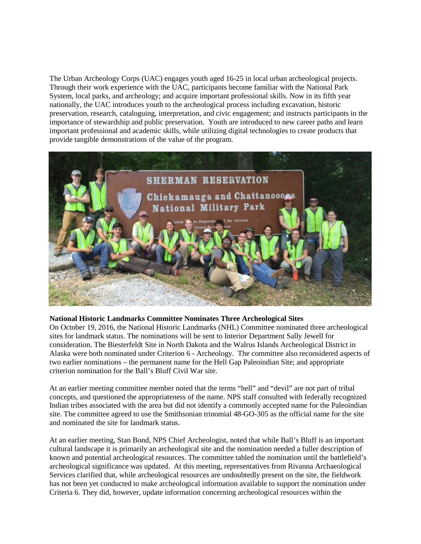The Urban Archeology Corps (UAC) engages youth aged 16-25 in local urban archeological projects. Through their work experience with the UAC, participants become familiar with the National Park System, local parks, and archeology; and acquire important professional skills. Now in its fifth year nationally, the UAC introduces youth to the archeological process including excavation, historic preservation, research, cataloguing, interpretation, and civic engagement; and instructs participants in the importance of stewardship and public preservation. Youth are introduced to new career paths and learn important professional and academic skills, while utilizing digital technologies to create products that provide tangible demonstrations of the value of the program.



# **National Historic Landmarks Committee Nominates Three Archeological Sites**

On October 19, 2016, the National Historic Landmarks (NHL) Committee nominated three archeological sites for landmark status. The nominations will be sent to Interior Department Sally Jewell for consideration. The Biesterfeldt Site in North Dakota and the Walrus Islands Archeological District in Alaska were both nominated under Criterion 6 - Archeology. The committee also reconsidered aspects of two earlier nominations – the permanent name for the Hell Gap Paleoindian Site; and appropriate criterion nomination for the Ball's Bluff Civil War site.

At an earlier meeting committee member noted that the terms "hell" and "devil" are not part of tribal concepts, and questioned the appropriateness of the name. NPS staff consulted with federally recognized Indian tribes associated with the area but did not identify a commonly accepted name for the Paleoindian site. The committee agreed to use the Smithsonian trinomial 48-GO-305 as the official name for the site and nominated the site for landmark status.

At an earlier meeting, Stan Bond, NPS Chief Archeologist, noted that while Ball's Bluff is an important cultural landscape it is primarily an archeological site and the nomination needed a fuller description of known and potential archeological resources. The committee tabled the nomination until the battlefield's archeological significance was updated. At this meeting, representatives from Rivanna Archaeological Services clarified that, while archeological resources are undoubtedly present on the site, the fieldwork has not been yet conducted to make archeological information available to support the nomination under Criteria 6. They did, however, update information concerning archeological resources within the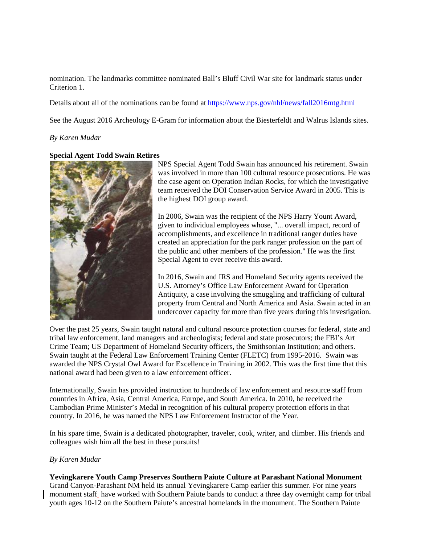nomination. The landmarks committee nominated Ball's Bluff Civil War site for landmark status under Criterion 1.

Details about all of the nominations can be found at<https://www.nps.gov/nhl/news/fall2016mtg.html>

See the August 2016 Archeology E-Gram for information about the Biesterfeldt and Walrus Islands sites.

#### *By Karen Mudar*

### **Special Agent Todd Swain Retires**



NPS Special Agent Todd Swain has announced his retirement. Swain was involved in more than 100 cultural resource prosecutions. He was the case agent on Operation Indian Rocks, for which the investigative team received the DOI Conservation Service Award in 2005. This is the highest DOI group award.

In 2006, Swain was the recipient of the NPS Harry Yount Award, given to individual employees whose, "... overall impact, record of accomplishments, and excellence in traditional ranger duties have created an appreciation for the park ranger profession on the part of the public and other members of the profession." He was the first Special Agent to ever receive this award.

In 2016, Swain and IRS and Homeland Security agents received the U.S. Attorney's Office Law Enforcement Award for Operation Antiquity, a case involving the smuggling and trafficking of cultural property from Central and North America and Asia. Swain acted in an undercover capacity for more than five years during this investigation.

Over the past 25 years, Swain taught natural and cultural resource protection courses for federal, state and tribal law enforcement, land managers and archeologists; federal and state prosecutors; the FBI's Art Crime Team; US Department of Homeland Security officers, the Smithsonian Institution; and others. Swain taught at the Federal Law Enforcement Training Center (FLETC) from 1995-2016. Swain was awarded the NPS Crystal Owl Award for Excellence in Training in 2002. This was the first time that this national award had been given to a law enforcement officer.

Internationally, Swain has provided instruction to hundreds of law enforcement and resource staff from countries in Africa, Asia, Central America, Europe, and South America. In 2010, he received the Cambodian Prime Minister's Medal in recognition of his cultural property protection efforts in that country. In 2016, he was named the NPS Law Enforcement Instructor of the Year.

In his spare time, Swain is a dedicated photographer, traveler, cook, writer, and climber. His friends and colleagues wish him all the best in these pursuits!

# *By Karen Mudar*

#### **Yevingkarere Youth Camp Preserves Southern Paiute Culture at Parashant National Monument** Grand Canyon-Parashant NM held its annual Yevingkarere Camp earlier this summer. For nine years monument staff have worked with Southern Paiute bands to conduct a three day overnight camp for tribal youth ages 10-12 on the Southern Paiute's ancestral homelands in the monument. The Southern Paiute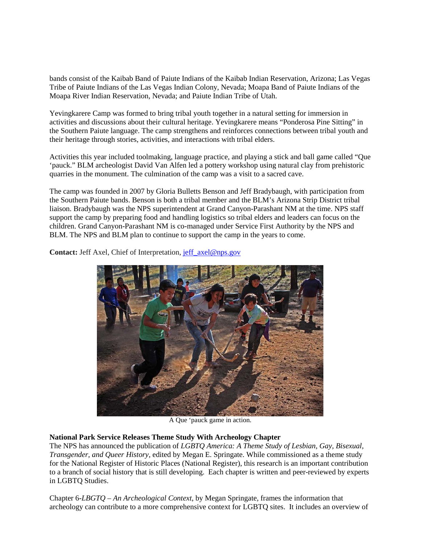bands consist of the Kaibab Band of Paiute Indians of the Kaibab Indian Reservation, Arizona; Las Vegas Tribe of Paiute Indians of the Las Vegas Indian Colony, Nevada; Moapa Band of Paiute Indians of the Moapa River Indian Reservation, Nevada; and Paiute Indian Tribe of Utah.

Yevingkarere Camp was formed to bring tribal youth together in a natural setting for immersion in activities and discussions about their cultural heritage. Yevingkarere means "Ponderosa Pine Sitting" in the Southern Paiute language. The camp strengthens and reinforces connections between tribal youth and their heritage through stories, activities, and interactions with tribal elders.

Activities this year included toolmaking, language practice, and playing a stick and ball game called "Que 'pauck." BLM archeologist David Van Alfen led a pottery workshop using natural clay from prehistoric quarries in the monument. The culmination of the camp was a visit to a sacred cave.

The camp was founded in 2007 by Gloria Bulletts Benson and Jeff Bradybaugh, with participation from the Southern Paiute bands. Benson is both a tribal member and the BLM's Arizona Strip District tribal liaison. Bradybaugh was the NPS superintendent at Grand Canyon-Parashant NM at the time. NPS staff support the camp by preparing food and handling logistics so tribal elders and leaders can focus on the children. Grand Canyon-Parashant NM is co-managed under Service First Authority by the NPS and BLM. The NPS and BLM plan to continue to support the camp in the years to come.

**Contact:** Jeff Axel, Chief of Interpretation, [jeff\\_axel@nps.gov](mailto:jeff_axel@nps.gov)



A Que 'pauck game in action.

# **National Park Service Releases Theme Study With Archeology Chapter**

The NPS has announced the publication of *LGBTQ America: A Theme Study of Lesbian, Gay, Bisexual, Transgender, and Queer History,* edited by Megan E. Springate. While commissioned as a theme study for the National Register of Historic Places (National Register), this research is an important contribution to a branch of social history that is still developing. Each chapter is written and peer-reviewed by experts in LGBTQ Studies.

Chapter 6-*LBGTQ – An Archeological Context*, by Megan Springate*,* frames the information that archeology can contribute to a more comprehensive context for LGBTQ sites. It includes an overview of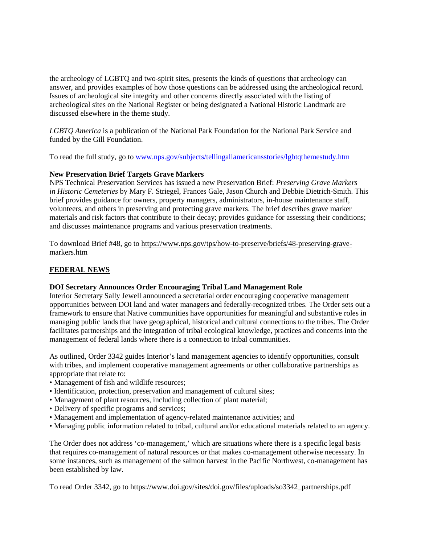the archeology of LGBTQ and two-spirit sites, presents the kinds of questions that archeology can answer, and provides examples of how those questions can be addressed using the archeological record. Issues of archeological site integrity and other concerns directly associated with the listing of archeological sites on the National Register or being designated a National Historic Landmark are discussed elsewhere in the theme study.

*LGBTQ America* is a publication of the National Park Foundation for the National Park Service and funded by the Gill Foundation.

To read the full study, go to [www.nps.gov/subjects/tellingallamericansstories/lgbtqthemestudy.htm](http://www.nps.gov/subjects/tellingallamericansstories/lgbtqthemestudy.htm)

# **New Preservation Brief Targets Grave Markers**

NPS Technical Preservation Services has issued a new Preservation Brief: *Preserving Grave Markers in Historic Cemeteries* by Mary F. Striegel, Frances Gale, Jason Church and Debbie Dietrich-Smith. This brief provides guidance for owners, property managers, administrators, in-house maintenance staff, volunteers, and others in preserving and protecting grave markers. The brief describes grave marker materials and risk factors that contribute to their decay; provides guidance for assessing their conditions; and discusses maintenance programs and various preservation treatments.

To download Brief #48, go to [https://www.nps.gov/tps/how-to-preserve/briefs/48-preserving-grave](https://www.nps.gov/tps/how-to-preserve/briefs/48-preserving-grave-markers.htm)[markers.htm](https://www.nps.gov/tps/how-to-preserve/briefs/48-preserving-grave-markers.htm)

# **FEDERAL NEWS**

# **DOI Secretary Announces Order Encouraging Tribal Land Management Role**

Interior Secretary Sally Jewell announced a secretarial order encouraging cooperative management opportunities between DOI land and water managers and federally-recognized tribes. The Order sets out a framework to ensure that Native communities have opportunities for meaningful and substantive roles in managing public lands that have geographical, historical and cultural connections to the tribes. The Order facilitates partnerships and the integration of tribal ecological knowledge, practices and concerns into the management of federal lands where there is a connection to tribal communities.

As outlined, Order 3342 guides Interior's land management agencies to identify opportunities, consult with tribes, and implement cooperative management agreements or other collaborative partnerships as appropriate that relate to:

- Management of fish and wildlife resources;
- Identification, protection, preservation and management of cultural sites;
- Management of plant resources, including collection of plant material;
- Delivery of specific programs and services;
- Management and implementation of agency-related maintenance activities; and
- Managing public information related to tribal, cultural and/or educational materials related to an agency.

The Order does not address 'co-management,' which are situations where there is a specific legal basis that requires co-management of natural resources or that makes co-management otherwise necessary. In some instances, such as management of the salmon harvest in the Pacific Northwest, co-management has been established by law.

To read Order 3342, go to https://www.doi.gov/sites/doi.gov/files/uploads/so3342\_partnerships.pdf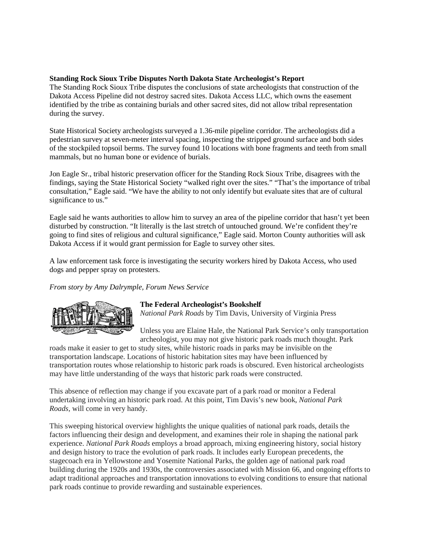### **Standing Rock Sioux Tribe Disputes North Dakota State Archeologist's Report**

The Standing Rock Sioux Tribe disputes the conclusions of state archeologists that construction of the Dakota Access Pipeline did not destroy sacred sites. Dakota Access LLC, which owns the easement identified by the tribe as containing burials and other sacred sites, did not allow tribal representation during the survey.

State Historical Society archeologists surveyed a 1.36-mile pipeline corridor. The archeologists did a pedestrian survey at seven-meter interval spacing, inspecting the stripped ground surface and both sides of the stockpiled topsoil berms. The survey found 10 locations with bone fragments and teeth from small mammals, but no human bone or evidence of burials.

Jon Eagle Sr., tribal historic preservation officer for the Standing Rock Sioux Tribe, disagrees with the findings, saying the State Historical Society "walked right over the sites." "That's the importance of tribal consultation," Eagle said. "We have the ability to not only identify but evaluate sites that are of cultural significance to us."

Eagle said he wants authorities to allow him to survey an area of the pipeline corridor that hasn't yet been disturbed by construction. "It literally is the last stretch of untouched ground. We're confident they're going to find sites of religious and cultural significance," Eagle said. Morton County authorities will ask Dakota Access if it would grant permission for Eagle to survey other sites.

A law enforcement task force is investigating the security workers hired by Dakota Access, who used dogs and pepper spray on protesters.

*From story by Amy Dalrymple, Forum News Service*



# **The Federal Archeologist's Bookshelf**

*National Park Roads* by Tim Davis, University of Virginia Press

Unless you are Elaine Hale, the National Park Service's only transportation archeologist, you may not give historic park roads much thought. Park

roads make it easier to get to study sites, while historic roads in parks may be invisible on the transportation landscape. Locations of historic habitation sites may have been influenced by transportation routes whose relationship to historic park roads is obscured. Even historical archeologists may have little understanding of the ways that historic park roads were constructed.

This absence of reflection may change if you excavate part of a park road or monitor a Federal undertaking involving an historic park road. At this point, Tim Davis's new book, *National Park Roads,* will come in very handy.

This sweeping historical overview highlights the unique qualities of national park roads, details the factors influencing their design and development, and examines their role in shaping the national park experience. *National Park Roads* employs a broad approach, mixing engineering history, social history and design history to trace the evolution of park roads. It includes early European precedents, the stagecoach era in Yellowstone and Yosemite National Parks, the golden age of national park road building during the 1920s and 1930s, the controversies associated with Mission 66, and ongoing efforts to adapt traditional approaches and transportation innovations to evolving conditions to ensure that national park roads continue to provide rewarding and sustainable experiences.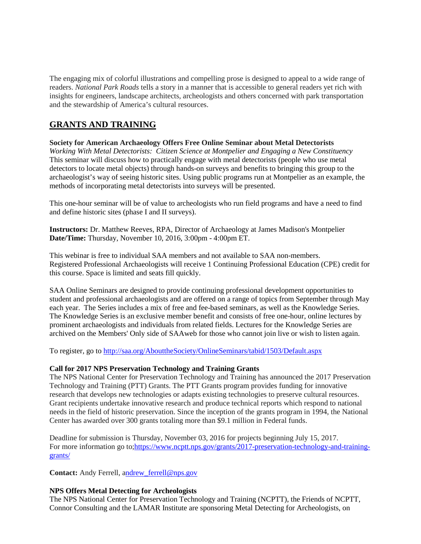The engaging mix of colorful illustrations and compelling prose is designed to appeal to a wide range of readers. *National Park Roads* tells a story in a manner that is accessible to general readers yet rich with insights for engineers, landscape architects, archeologists and others concerned with park transportation and the stewardship of America's cultural resources.

# **GRANTS AND TRAINING**

**Society for American Archaeology Offers Free Online Seminar about Metal Detectorists** *Working With Metal Detectorists: Citizen Science at Montpelier and Engaging a New Constituency* This seminar will discuss how to practically engage with metal detectorists (people who use metal detectors to locate metal objects) through hands-on surveys and benefits to bringing this group to the archaeologist's way of seeing historic sites. Using public programs run at Montpelier as an example, the

methods of incorporating metal detectorists into surveys will be presented.

This one-hour seminar will be of value to archeologists who run field programs and have a need to find and define historic sites (phase I and II surveys).

**Instructors:** Dr. Matthew Reeves, RPA, Director of Archaeology at James Madison's Montpelier **Date/Time:** Thursday, November 10, 2016, 3:00pm - 4:00pm ET.

This webinar is free to individual SAA members and not available to SAA non-members. Registered Professional Archaeologists will receive 1 Continuing Professional Education (CPE) credit for this course. Space is limited and seats fill quickly.

SAA Online Seminars are designed to provide continuing professional development opportunities to student and professional archaeologists and are offered on a range of topics from September through May each year. The Series includes a mix of free and fee-based seminars, as well as the Knowledge Series. The Knowledge Series is an exclusive member benefit and consists of free one-hour, online lectures by prominent archaeologists and individuals from related fields. Lectures for the Knowledge Series are archived on the Members' Only side of SAAweb for those who cannot join live or wish to listen again.

To register, go to<http://saa.org/AbouttheSociety/OnlineSeminars/tabid/1503/Default.aspx>

# **Call for 2017 NPS Preservation Technology and Training Grants**

The NPS National Center for Preservation Technology and Training has announced the 2017 Preservation Technology and Training (PTT) Grants. The PTT Grants program provides funding for innovative research that develops new technologies or adapts existing technologies to preserve cultural resources. Grant recipients undertake innovative research and produce technical reports which respond to national needs in the field of historic preservation. Since the inception of the grants program in 1994, the National Center has awarded over 300 grants totaling more than \$9.1 million in Federal funds.

Deadline for submission is Thursday, November 03, 2016 for projects beginning July 15, 2017. For more information go to[;https://www.ncptt.nps.gov/grants/2017-preservation-technology-and-training](https://www.google.com/url?q=https%3A%2F%2Fwww.ncptt.nps.gov%2Fgrants%2F2017-preservation-technology-and-training-grants%2F&sa=D&sntz=1&usg=AFQjCNHIgv9CSjTOS-GdFmOj_nyZprbXNg)[grants/](https://www.google.com/url?q=https%3A%2F%2Fwww.ncptt.nps.gov%2Fgrants%2F2017-preservation-technology-and-training-grants%2F&sa=D&sntz=1&usg=AFQjCNHIgv9CSjTOS-GdFmOj_nyZprbXNg)

**Contact:** Andy Ferrell, [andrew\\_ferrell@nps.gov](https://mail.google.com/mail/?view=cm&fs=1&tf=1&to=andrew_ferrell@nps.gov)

# **NPS Offers Metal Detecting for Archeologists**

The NPS National Center for Preservation Technology and Training (NCPTT), the Friends of NCPTT, Connor Consulting and the LAMAR Institute are sponsoring Metal Detecting for Archeologists, on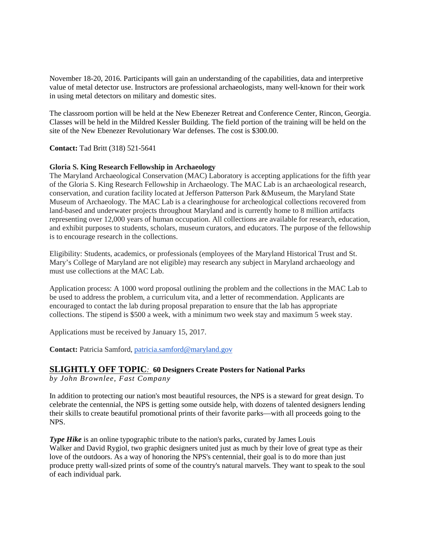November 18-20, 2016. Participants will gain an understanding of the capabilities, data and interpretive value of metal detector use. Instructors are professional archaeologists, many well-known for their work in using metal detectors on military and domestic sites.

The classroom portion will be held at the New Ebenezer Retreat and Conference Center, Rincon, Georgia. Classes will be held in the Mildred Kessler Building. The field portion of the training will be held on the site of the New Ebenezer Revolutionary War defenses. The cost is \$300.00.

# **Contact:** Tad Britt (318) 521-5641

#### **Gloria S. King Research Fellowship in Archaeology**

The Maryland Archaeological Conservation (MAC) Laboratory is accepting applications for the fifth year of the Gloria S. King Research Fellowship in Archaeology. The MAC Lab is an archaeological research, conservation, and curation facility located at Jefferson Patterson Park &Museum, the Maryland State Museum of Archaeology. The MAC Lab is a clearinghouse for archeological collections recovered from land-based and underwater projects throughout Maryland and is currently home to 8 million artifacts representing over 12,000 years of human occupation. All collections are available for research, education, and exhibit purposes to students, scholars, museum curators, and educators. The purpose of the fellowship is to encourage research in the collections.

Eligibility: Students, academics, or professionals (employees of the Maryland Historical Trust and St. Mary's College of Maryland are not eligible) may research any subject in Maryland archaeology and must use collections at the MAC Lab.

Application process: A 1000 word proposal outlining the problem and the collections in the MAC Lab to be used to address the problem, a curriculum vita, and a letter of recommendation. Applicants are encouraged to contact the lab during proposal preparation to ensure that the lab has appropriate collections. The stipend is \$500 a week, with a minimum two week stay and maximum 5 week stay.

Applications must be received by January 15, 2017.

**Contact:** Patricia Samford, [patricia.samford@maryland.gov](mailto:patricia.samford@maryland.gov)

# **SLIGHTLY OFF TOPIC***:* **60 Designers Create Posters for National Parks**

*by John Brownlee, Fast Company*

In addition to protecting our nation's most beautiful resources, the NPS is a steward for great design. To celebrate the centennial, the NPS is getting some outside help, with dozens of talented designers lending their skills to create beautiful promotional prints of their favorite parks—with all proceeds going to the NPS.

*Type Hike* is an online typographic tribute to the nation's parks, curated by James Louis Walker and David Rygiol, two graphic designers united just as much by their love of great type as their love of the outdoors. As a way of honoring the NPS's centennial, their goal is to do more than just produce pretty wall-sized prints of some of the country's natural marvels. They want to speak to the soul of each individual park.